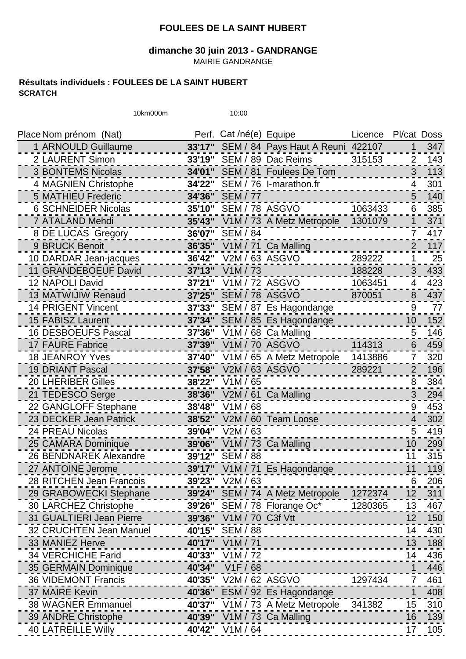## **FOULEES DE LA SAINT HUBERT**

## **dimanche 30 juin 2013 - GANDRANGE**

MAIRIE GANDRANGE

10km000m 10:00

## **Résultats individuels : FOULEES DE LA SAINT HUBERT SCRATCH**

| Place Nom prénom (Nat)                                                                                                                                         |                 | Perf. Cat /né(e) Equipe Licence Pl/cat Doss                |                 |                    |        |
|----------------------------------------------------------------------------------------------------------------------------------------------------------------|-----------------|------------------------------------------------------------|-----------------|--------------------|--------|
| 1 ARNOULD Guillaume                                                                                                                                            |                 | 33'17" SEM / 84 Pays Haut A Reuni 422107 1                 |                 |                    | 347    |
| 2 LAURENT Simon<br>-----------                                                                                                                                 |                 | 33'19" SEM / 89 Dac Reims 315153                           |                 | $\mathbf{2}$       | 143    |
| 3 BONTEMS Nicolas ___________ 34'01" SEM / 81 Foulees De Tom ___________ 3 _113                                                                                |                 |                                                            |                 |                    |        |
| 4 MAGNIEN Christophe _______ 34'22" SEM / 76 l-marathon.fr ______________                                                                                      |                 |                                                            |                 |                    | 4 301  |
| 5 MATHIEU Frederic<br>.                                                                                                                                        | 34'36" SEM / 77 | .                                                          |                 |                    | 140    |
| 6 SCHNEIDER Nicolas                                                                                                                                            |                 | 35'10" SEM / 78 ASGVO 1063433 6 385                        |                 |                    |        |
| 7 ATALAND Mehdi                                                                                                                                                |                 |                                                            |                 |                    |        |
| 8 DE LUCAS Gregory _________ 36'07" SEM / 84                                                                                                                   |                 | <u>-----------</u>                                         |                 |                    | 7 417  |
| 9 BRUCK Benoit                                                                                                                                                 |                 |                                                            |                 | $\overline{2}$ 117 |        |
| 10 DARDAR Jean-jacques ______ 36'42" V2M / 63 ASGVO _____ 289222 ___ 1                                                                                         |                 |                                                            |                 |                    | - 25   |
| 11 GRANDEBOEUF David ______ 37'13" V1M / 73 ______________                                                                                                     |                 |                                                            | 188228 3 433    |                    |        |
| 12 NAPOLI David                                                                                                                                                |                 |                                                            |                 |                    | 423    |
| 13 MATWIJIW Renaud _________ 37'25" SEM / 78 ASGVO ______ 870051 __ _ 8 _ 437                                                                                  |                 |                                                            |                 |                    |        |
|                                                                                                                                                                |                 |                                                            |                 | 9                  | 77     |
| 15 FABISZ Laurent                                                                                                                                              |                 |                                                            |                 |                    | 10 152 |
| .16_DESBOEUFS_Pascal________________37'36''__V1M / 68_Ca_Malling _ _ _ _ _ _ _ _ _                                                                             |                 |                                                            |                 |                    | 146    |
| 17 FAURE Fabrice _______________37'39" V1M / 70 ASGVO _______114313 ____6 _459                                                                                 |                 |                                                            |                 |                    |        |
| 18 JEANROY Yves _____________                                                                                                                                  |                 | 37'40" V1M / 65 A Metz Metropole 1413886                   |                 | $\overline{7}$     | 320    |
| 19 DRIANT Pascal ________________37'58" _V2M / 63 _ASGVO _________ 289221 ____                                                                                 |                 |                                                            |                 |                    | 2 196  |
| 20 LHERIBER Gilles<br>- - - - - - - - - - -                                                                                                                    | 38'22" V1M / 65 |                                                            | . <i>.</i> .    | 8                  | 384    |
| 21 TEDESCO Serge                                                                                                                                               |                 | _______________38'36"_V2M / 61_Ca_Malling ________________ |                 |                    | 3 294  |
| 22 GANGLOFF Stephane _______ 38'48" V1M / 68                                                                                                                   |                 |                                                            | --------------- |                    | 9 453  |
| 23 DECKER Jean Patrick ________ 38'52" \/2M / 60 Team Loose ______________                                                                                     |                 |                                                            |                 | $4 \quad$          | 302    |
| 24 PREAU Nicolas                                                                                                                                               |                 | .                                                          |                 |                    | 419    |
| 25 CAMARA Dominique _________ 39'06" V1M / 73 Ca Malling _____________                                                                                         |                 |                                                            |                 |                    | 10 299 |
| 26 BENDNAREK Alexandre ______ 39'12" SEM / 88                                                                                                                  |                 |                                                            |                 | 11                 | 315    |
| 27 ANTOINE Jerome                                                                                                                                              |                 |                                                            |                 |                    |        |
| 28 RITCHEN Jean Francois 29'23" V2M / 63                                                                                                                       |                 |                                                            |                 |                    |        |
| 29 GRABOWECKI Stephane 2024" SEM / 74 A Metz Metropole 272374 22 311                                                                                           |                 |                                                            |                 |                    |        |
|                                                                                                                                                                |                 |                                                            |                 |                    |        |
| - 30 LARCHEZ Christophe - - - - - - - - 39'26"  SEM / 78  Florange Oc* 1280365   13   . 467<br>[31] GUALTIERI Jean Pierre 39'36"  V1M / 70  C3f Vtt 12   . 150 |                 |                                                            |                 |                    |        |
| 32 CRUCHTEN Jean Manuel _____ 40'15" SEM / 88 _________________________14 _430                                                                                 |                 |                                                            |                 |                    |        |
|                                                                                                                                                                |                 |                                                            |                 |                    |        |
| 34 VERCHICHE Farid 2003 V1M 72                                                                                                                                 |                 |                                                            |                 |                    |        |
|                                                                                                                                                                |                 |                                                            |                 |                    |        |
|                                                                                                                                                                |                 |                                                            |                 |                    |        |
|                                                                                                                                                                |                 |                                                            |                 |                    |        |
| 38 WAGNER Emmanuel ________40'37" V1M / 73 A Metz Metropole 341382 __ 15 _310                                                                                  |                 |                                                            |                 |                    |        |
| 39 ANDRE Christophe <b>40'39"</b> V1M / 73 Ca Malling                                                                                                          |                 |                                                            |                 |                    | 16 139 |

LATREILLE Willy **40'42''** V1M / 64 17 105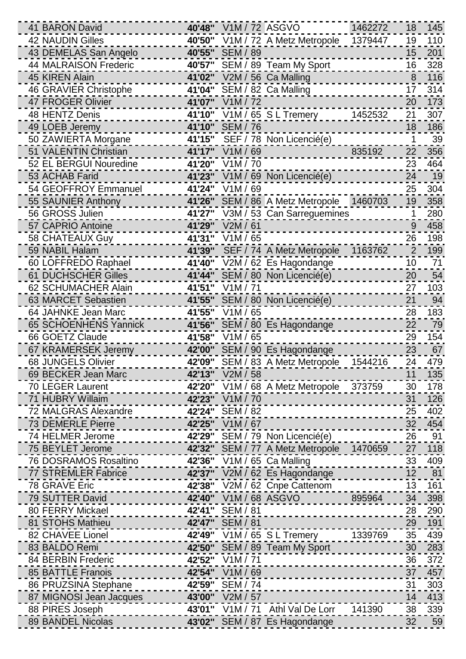| 41 BARON David                                                                                                                                                                                                                    |                 |  | 40'48" V1M / 72 ASGVO                         | 1462272                 | 18 | 145    |
|-----------------------------------------------------------------------------------------------------------------------------------------------------------------------------------------------------------------------------------|-----------------|--|-----------------------------------------------|-------------------------|----|--------|
| <b>42 NAUDIN Gilles</b>                                                                                                                                                                                                           |                 |  | 40'50" V1M / 72 A Metz Metropole 1379447      |                         | 19 | 110    |
| 43 DEMELAS San Angelo                                                                                                                                                                                                             | 40'55" SEM / 89 |  |                                               | <u> - - - - - - - -</u> | 15 | 201    |
| 44 MALRAISON Frederic                                                                                                                                                                                                             |                 |  | 40'57" SEM / 89 Team My Sport                 |                         | 16 | 328    |
| 45 KIREN Alain                                                                                                                                                                                                                    |                 |  | 41'02" V2M / 56 Ca Malling                    | <b>Albert 200</b>       |    | 116    |
| 46 GRAVIER Christophe                                                                                                                                                                                                             |                 |  | 41'04" SEM / 82 Ca Malling<br>$- - - - - - -$ |                         | 17 | 314    |
| 47 FROGER Olivier<br>$\frac{1}{2}$                                                                                                                                                                                                | 41'07" V1M / 72 |  |                                               |                         | 20 | 173    |
| 48 HENTZ Denis                                                                                                                                                                                                                    |                 |  | 41'10" V1M / 65 S L Tremery 1452532           |                         | 21 | 307    |
| 49 LOEB Jeremy                                                                                                                                                                                                                    | 41'10" SEM / 76 |  |                                               |                         | 18 | 186    |
| 50 ZAWIERTA Morgane                                                                                                                                                                                                               |                 |  | 41'15" SEF / 78 Non Licencié(e)               |                         |    | 39     |
| 51 VALENTIN Christian                                                                                                                                                                                                             | 41'17" V1M / 69 |  |                                               | 835192                  | 22 | 356    |
| 52 EL BERGUI Nouredine                                                                                                                                                                                                            | 41'20" V1M / 70 |  |                                               |                         | 23 | 464    |
| 53 ACHAB Farid                                                                                                                                                                                                                    |                 |  | 41'23" V1M / 69 Non Licencié(e)               |                         | 24 | 19     |
| 54 GEOFFROY Emmanuel                                                                                                                                                                                                              | 41'24" V1M / 69 |  |                                               |                         | 25 | 304    |
| 55 SAUNIER Anthony                                                                                                                                                                                                                |                 |  | 41'26" SEM / 86 A Metz Metropole 1460703      |                         | 19 | 358    |
| 56 GROSS Julien                                                                                                                                                                                                                   |                 |  | 41'27" V3M / 53 Can Sarreguemines             |                         |    | 280    |
| 57 CAPRIO Antoine                                                                                                                                                                                                                 | 41'29" V2M / 61 |  | --------------                                |                         | 9  | 458    |
| 58 CHATEAUX Guy                                                                                                                                                                                                                   | 41'31" V1M / 65 |  |                                               |                         | 26 | 198    |
| 59 NABIL Halam                                                                                                                                                                                                                    |                 |  | 41'39" SEF / 74 A Metz Metropole 1163762      |                         | 2  | 199    |
| 60 LOFFREDO Raphael                                                                                                                                                                                                               |                 |  | 41'40" V2M / 62 Es Hagondange                 |                         | 10 | 71     |
| 61 DUCHSCHER Gilles                                                                                                                                                                                                               |                 |  | 41'44" SEM / 80 Non Licencié(e)               |                         | 20 | 54     |
| 62 SCHUMACHER Alain                                                                                                                                                                                                               | 41'51" V1M / 71 |  |                                               |                         | 27 | 103    |
| 63 MARCET Sebastien                                                                                                                                                                                                               |                 |  | 41'55" SEM / 80 Non Licencié(e)               |                         | 21 | 94     |
| 64 JAHNKE Jean Marc                                                                                                                                                                                                               | 41'55" V1M / 65 |  |                                               |                         | 28 | 183    |
| 65 SCHOENHENS Yannick<br>1995 - CHOENHENS Yannick                                                                                                                                                                                 |                 |  | 41'56" SEM / 80 Es Hagondange                 | $\frac{1}{2}$           | 22 | 79     |
| 66 GOETZ Claude                                                                                                                                                                                                                   | 41'58" V1M / 65 |  |                                               |                         | 29 | 154    |
| 67 KRAMERSEK Jeremy                                                                                                                                                                                                               |                 |  | 42'00" SEM / 90 Es Hagondange                 |                         | 23 | 67     |
| 68 JUNGELS Olivier                                                                                                                                                                                                                |                 |  | 42'09" SEM / 83 A Metz Metropole 1544216      |                         | 24 | 479    |
|                                                                                                                                                                                                                                   |                 |  |                                               |                         |    | 135    |
| 70 LEGER Laurent ____________42'20" V1M / 68 A Metz Metropole _ 373759 __ 30 _178                                                                                                                                                 |                 |  |                                               |                         |    |        |
| __71_HUBRY_Willaim_______________42'23"_V1M/70_                                                                                                                                                                                   |                 |  |                                               |                         |    |        |
|                                                                                                                                                                                                                                   |                 |  |                                               |                         |    |        |
|                                                                                                                                                                                                                                   |                 |  |                                               |                         |    |        |
|                                                                                                                                                                                                                                   |                 |  |                                               |                         |    |        |
|                                                                                                                                                                                                                                   |                 |  |                                               |                         |    |        |
| <u>-76 DOSRAMOS Rosaltino – – – – – – – 42'36", V1M / 65 Ca Malling – – – – – – – – – – – – – 33 – 409 </u>                                                                                                                       |                 |  |                                               |                         |    |        |
| 77 STREMLER Fabrice __________42'37" V2M / 62 Es Hagondange ____________12 __ 81                                                                                                                                                  |                 |  |                                               |                         |    |        |
| - 78 GRAVE Eric - - - - - - - - - - - - - - 42'38" - V2M / 62 -Cnpe Cattenom - - - - - - - - - - - - - 13 - 161<br>- 79 SUTTER David - - - - - - - - - - - - - - 42'40" - V1M / 68 -ASGVO - - - - - - - - - - - - - - - - 34 - 39 |                 |  |                                               |                         |    |        |
|                                                                                                                                                                                                                                   |                 |  |                                               |                         |    |        |
| 80 FERRY Mickael _____________42'41"_SEM / 81 ___________________________28 _ 290                                                                                                                                                 |                 |  |                                               |                         |    |        |
|                                                                                                                                                                                                                                   |                 |  |                                               |                         |    |        |
|                                                                                                                                                                                                                                   |                 |  |                                               |                         |    |        |
| 83 BALDO Remi _ _ _ _ _ _ _ _ _ _ _ _ 42'50"_ SEM / 89 Team My Sport _ _ _ _ _ _ _ _ _ _ 30 _ 283                                                                                                                                 |                 |  |                                               |                         |    |        |
|                                                                                                                                                                                                                                   |                 |  |                                               |                         |    | 372    |
| 85 BATTLE Francis ____________ 42'54" V1M / 69 ____________________________                                                                                                                                                       |                 |  |                                               |                         |    | 37 457 |
| 86 PRUZSINA Stephane<br>87 MIGNOSI Jean Jacques<br>87 MIGNOSI Jean Jacques 1999 - 143'00" - 142MI 57                                                                                                                              |                 |  |                                               |                         |    |        |
|                                                                                                                                                                                                                                   |                 |  |                                               |                         |    |        |
|                                                                                                                                                                                                                                   |                 |  |                                               |                         |    |        |
| 89 BANDEL Nicolas ____________ 43'02" SEM / 87 Es Hagondange __________ 32 __ 59                                                                                                                                                  |                 |  |                                               |                         |    |        |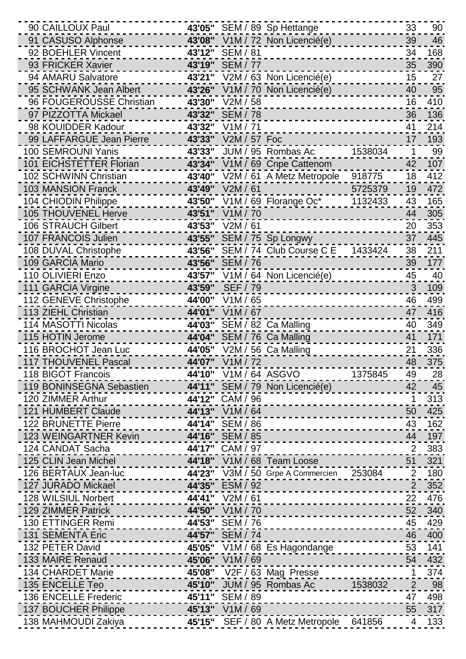| 90 CAILLOUX Paul                                                                                                                                                                                                                     |                 |  | 43'05" SEM / 89 Sp Hettange                | 33              | 90     |
|--------------------------------------------------------------------------------------------------------------------------------------------------------------------------------------------------------------------------------------|-----------------|--|--------------------------------------------|-----------------|--------|
| 91 CASUSO Alphonse<br>$\frac{1}{2}$                                                                                                                                                                                                  |                 |  | 43'08" V1M / 72 Non Licencié(e)            | 39              | 46     |
| 92 BOEHLER Vincent<br>$\frac{1}{2}$                                                                                                                                                                                                  | 43'12" SEM / 81 |  | ---------------                            | 34              | 168    |
| 93 FRICKER Xavier                                                                                                                                                                                                                    | 43'19" SEM / 77 |  |                                            | 35              | 390    |
| 94 AMARU Salvatore                                                                                                                                                                                                                   |                 |  | 43'21" V2M / 63 Non Licencié(e)            | 15              | 27     |
| 95 SCHWANK Jean Albert <b>43'26"</b> V1M / 70 Non Licencié(e) _______                                                                                                                                                                |                 |  |                                            | 40              | 95     |
| 96 FOUGEROUSSE Christian _ _ _ _ _                                                                                                                                                                                                   | 43'30" V2M / 58 |  | . <u>.</u> .                               | 16              | 410    |
| 97 PIZZOTTA Mickael                                                                                                                                                                                                                  | 43'32" SEM / 78 |  | <u>--------------</u> .                    | 36              | 136    |
| 98 KOUIDDER Kadour<br>$\frac{1}{2}$ = $\frac{1}{2}$ = $\frac{1}{2}$ = $\frac{1}{2}$ = 43'32" V1M / 71                                                                                                                                |                 |  | .                                          | 41              | 214    |
| 99 LAFFARGUE Jean Pierre 43'33" V2M / 57 Foc                                                                                                                                                                                         |                 |  |                                            | 17 <sup>2</sup> | 193    |
| 100 SEMROUNI Yanis                                                                                                                                                                                                                   |                 |  | 43'33" JUM / 95 Rombas Ac 1538034          |                 | 99     |
| 101 EICHSTETTER Florian 43'34" V1M / 69 Cnpe Cattenom                                                                                                                                                                                |                 |  |                                            | 42              | 107    |
| 102 SCHWINN Christian                                                                                                                                                                                                                |                 |  | 43'40" V2M / 61 A Metz Metropole 918775    | 18              | 412    |
| 103 MANSION Franck                                                                                                                                                                                                                   | 43'49" V2M / 61 |  | 5725379                                    | 19              | 472    |
| 104 CHIODIN Philippe<br>_ _ _ _ _ _ _ _ _                                                                                                                                                                                            |                 |  | 43'50" V1M / 69 Florange Oc* _ _ _ 1132433 | 43              | 165    |
| 105 THOUVENEL Herve                                                                                                                                                                                                                  | 43'51" V1M / 70 |  | ______________                             | 44              | 305    |
| <b>106 STRAUCH Gilbert</b>                                                                                                                                                                                                           | 43'53" V2M / 61 |  |                                            | 20              | 353    |
| 107 FRANCOIS Julien                                                                                                                                                                                                                  |                 |  | 43'55" SEM / 75 Sp Longwy                  | 37              | 445    |
| 108 DUVAL Christophe<br>.                                                                                                                                                                                                            |                 |  | 43'56" SEM / 74 Club Course C E 1433424    | 38              | 211    |
| 109 GARCIA Mario<br>$- - - - - - -$                                                                                                                                                                                                  | 43'56" SEM / 76 |  |                                            | 39              | 177    |
| 110 OLIVIERI Enzo                                                                                                                                                                                                                    |                 |  | 43'57" V1M / 64 Non Licencié(e)            | 45              | 40     |
| 111 GARCIA Virgine                                                                                                                                                                                                                   | 43'59" SEF / 79 |  |                                            |                 | 109    |
| 112 GENEVE Christophe                                                                                                                                                                                                                | 44'00" V1M / 65 |  | <u>------------</u>                        | 46              | 499    |
| 113 ZIEHL Christian                                                                                                                                                                                                                  | 44'01" V1M / 67 |  |                                            | 47              | 416    |
| 114 MASOTTI Nicolas                                                                                                                                                                                                                  |                 |  | 44'03" SEM / 82 Ca Malling                 | 40              | 349    |
| 115 HOTIN Jerome                                                                                                                                                                                                                     |                 |  | 44'04" SEM / 76 Ca Malling                 | 41              | 171    |
| 116 BROCHOT Jean Luc                                                                                                                                                                                                                 |                 |  | 44'05" V2M / 56 Ca Malling<br>--------     | 21              | 336    |
| 117 THOUVENEL Pascal                                                                                                                                                                                                                 | 44'07" V1M / 72 |  |                                            | 48              | 375    |
| 118 BIGOT Francois                                                                                                                                                                                                                   |                 |  |                                            |                 |        |
| 119 BONINSEGNA Sebastien _____ 44'11" SEM / 79 Non Licencié(e) __________ 42 __ 45                                                                                                                                                   |                 |  |                                            |                 |        |
| - 120 ZIMMER Arthur<br>- 120 ZIMMER Arthur<br>- 121 HUMBERT Claude - - - - - - - - - - - 44'13" - V1M / 64                                                                                                                           |                 |  | __________________________                 | $\mathbf{1}$    | 313    |
|                                                                                                                                                                                                                                      |                 |  |                                            | 50              | 425    |
| . 122 BRUNETTE Pierre<br>. 123 WEINGARTNER Kevin _________44'14" SEM / 86 ______________________________43 _.<br>. 123 WEINGARTNER Kevin _________44'16"_SEM / 85 ______________________________44                                   |                 |  |                                            |                 | 162    |
|                                                                                                                                                                                                                                      |                 |  |                                            |                 | 197    |
|                                                                                                                                                                                                                                      |                 |  |                                            |                 |        |
|                                                                                                                                                                                                                                      |                 |  |                                            |                 |        |
| 126 BERTAUX Jean-luc _____________44'23" V3M / 50 Grpe A Commercien __253084 _____2 _180<br>127 JURADO Mickael ____________44'35"_ESM / 92__________________________________                                                         |                 |  |                                            |                 | 352    |
|                                                                                                                                                                                                                                      |                 |  |                                            |                 | 476    |
|                                                                                                                                                                                                                                      |                 |  |                                            |                 | 52 340 |
|                                                                                                                                                                                                                                      |                 |  |                                            | 45              | 429    |
| 130 ETTINGER Remi ___________ 44'53" SEM / 76<br>131 SEMENTA Eric _____________ 44'57"_SEM / 74                                                                                                                                      |                 |  | <u>----------------------46 400</u>        |                 |        |
| 132 PETER David _______________45'05" _V1M / 68 Es Hagondange ____________53 _141                                                                                                                                                    |                 |  |                                            |                 |        |
|                                                                                                                                                                                                                                      |                 |  |                                            |                 |        |
| 133 MAIRE Renaud<br>134 CHARDET Marie 1999 - 1999 - 1999 - 1999 - 1999 - 1999 - 1999 - 1999 - 1999 - 1999 - 1999 - 1999 - 1999 - 1<br>1999 - 1999 - 1999 - 1999 - 1999 - 1999 - 1999 - 1999 - 1999 - 1999 - 1999 - 1999 - 1999 - 199 |                 |  |                                            |                 |        |
| 135 ENCELLE Teo _ _ _ _ _ _ _ _ _ _ _ 45'10" _ JUM / 95 Rombas Ac _ _ _ _ _ 1538032 _ _ _ 2 _ _ 98                                                                                                                                   |                 |  |                                            |                 |        |
| 136 ENCELLE Frederic _________ 45'11" SEM / 89                                                                                                                                                                                       |                 |  |                                            |                 | 498    |
|                                                                                                                                                                                                                                      |                 |  |                                            |                 |        |
| 138 MAHMOUDI Zakiya _________ 45'15" _ SEF / 80 _A Metz Metropole _ 641856 _____4 _ 133                                                                                                                                              |                 |  |                                            |                 |        |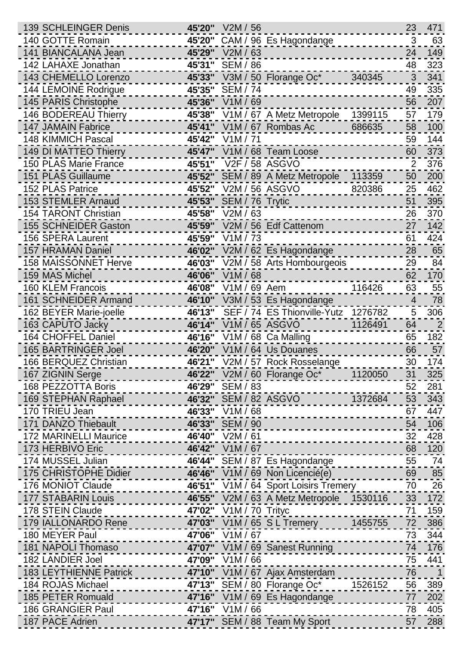| 139 SCHLEINGER Denis                                                                                                                                                                                         | 45'20" V2M / 56        |  |                                                              |                | 23 | 471                        |
|--------------------------------------------------------------------------------------------------------------------------------------------------------------------------------------------------------------|------------------------|--|--------------------------------------------------------------|----------------|----|----------------------------|
| 140 GOTTE Romain<br>.                                                                                                                                                                                        |                        |  | 45'20" CAM / 96 Es Hagondange                                |                | 3  | 63                         |
| 141 BIANCALANA Jean                                                                                                                                                                                          | 45'29" V2M / 63        |  | _______________                                              |                | 24 | 149                        |
| 142 LAHAXE Jonathan                                                                                                                                                                                          | 45'31" SEM / 86        |  |                                                              |                | 48 | 323                        |
| 143 CHEMELLO Lorenzo<br>and the state of the                                                                                                                                                                 |                        |  | 45'33" V3M / 50 Florange Oc* 340345                          |                | 3  | 341                        |
| 144 LEMOINE Rodrigue                                                                                                                                                                                         | 45'35" SEM / 74        |  |                                                              |                | 49 | 335                        |
| 145 PARIS Christophe<br>. <u>.</u> .                                                                                                                                                                         | 45'36" V1M / 69        |  |                                                              |                | 56 | 207                        |
| 146 BODEREAU Thierry _______                                                                                                                                                                                 |                        |  | 45'38" V1M / 67 A Metz Metropole 1399115                     |                | 57 | 179                        |
| 147 JAMAIN Fabrice                                                                                                                                                                                           |                        |  | 45'41" V1M / 67 Rombas Ac 686635                             |                | 58 | 100                        |
| 148 KIMMICH Pascal                                                                                                                                                                                           | 45'42" V1M / 71        |  |                                                              |                | 59 | 144                        |
| 149 DI MATTEO Thierry                                                                                                                                                                                        |                        |  | 45'47" V1M / 68 Team Loose                                   |                | 60 | 373                        |
| 150 PLAS Marie France                                                                                                                                                                                        |                        |  | 45'51" V2F / 58 ASGVO                                        |                |    | 376                        |
| 151 PLAS Guillaume<br>-----------                                                                                                                                                                            |                        |  | 45'52" SEM / 89 A Metz Metropole 113359                      |                | 50 | 200                        |
| 152 PLAS Patrice<br>.                                                                                                                                                                                        |                        |  | 45'52" V2M / 56 ASGVO 820386                                 |                | 25 | 462                        |
| 153 STEMLER Arnaud                                                                                                                                                                                           | 45'53" SEM / 76 Trytic |  |                                                              |                | 51 | 395                        |
| 154 TARONT Christian                                                                                                                                                                                         | 45'58" V2M / 63        |  |                                                              |                | 26 | 370                        |
| 155 SCHNEIDER Gaston                                                                                                                                                                                         |                        |  | 45'59" V2M / 56 Edf Cattenom                                 |                | 27 | 142                        |
| 156 SPERA Laurent<br>--------                                                                                                                                                                                | 45'59" V1M / 73        |  |                                                              |                | 61 | 424                        |
| 157 HRAMAN Daniel                                                                                                                                                                                            |                        |  | 46'02" V2M / 62 Es Hagondange                                |                | 28 | 65                         |
| 158 MAISSONNET Herve                                                                                                                                                                                         |                        |  | 46'03" V2M / 58 Arts Hombourgeois                            |                | 29 | 84                         |
| 159 MAS Michel<br>_ _ _ _ _ _ _ _ _ _ _<br>160 KLEM Francois                                                                                                                                                 | 46'06" V1M / 68        |  | _ _ _ _ _ _ _ _ _ _ _ _                                      |                | 62 | 170                        |
| 161 SCHNEIDER Armand                                                                                                                                                                                         |                        |  | 46'08" V1M/69 Aem<br>116426<br>46'10" V3M / 53 Es Hagondange |                | 63 | 55<br>78                   |
| 162 BEYER Marie-joelle                                                                                                                                                                                       |                        |  | 46'13" SEF / 74 ES Thionville-Yutz 1276782                   |                |    | 306                        |
| 163 CAPUTO Jacky                                                                                                                                                                                             |                        |  | 46'14" V1M / 65 ASGVO                                        |                | 64 | $\overline{2}$             |
| 164 CHOFFEL Daniel                                                                                                                                                                                           |                        |  | 46'16" V1M / 68 Ca Malling                                   | $     1126491$ | 65 | 182                        |
| $\frac{1}{2}$<br>165 BARTRINGER Joel                                                                                                                                                                         |                        |  | ---------<br>46'20" V1M / 64 Us Douanes                      |                | 66 | 57                         |
| 166 BERQUEZ Christian                                                                                                                                                                                        |                        |  | 46'21" V2M / 57 Rock Rosselange                              |                | 30 | 174                        |
|                                                                                                                                                                                                              |                        |  |                                                              |                |    | 325                        |
|                                                                                                                                                                                                              |                        |  |                                                              |                |    |                            |
|                                                                                                                                                                                                              |                        |  |                                                              |                |    |                            |
|                                                                                                                                                                                                              |                        |  |                                                              |                | 67 | 447                        |
|                                                                                                                                                                                                              |                        |  |                                                              |                | 54 | 106                        |
| 172 MARINELLI Maurice _________ 46'40" V2M / 61 _______________________ 32                                                                                                                                   |                        |  |                                                              |                |    | 428                        |
|                                                                                                                                                                                                              |                        |  |                                                              |                |    |                            |
|                                                                                                                                                                                                              |                        |  |                                                              |                |    |                            |
| - 174 MUSSEL Julian<br>174 MUSSEL Julian - - - - - - - - - - - 46'44" SEM / 87 Es Hagondange<br>175 CHRISTOPHE Didier - - - - - - - - 46'46" V1M / 69 Non Licencié(e) - - - - - - - - - - - - - - - - - - 89 |                        |  |                                                              |                |    |                            |
| 176 MONIOT Claude ___________ 46'51" V1M / 64 Sport Loisirs Tremery ________ 70 __ 26                                                                                                                        |                        |  |                                                              |                |    |                            |
| 177 STABARIN Louis ___________ 46'55" V2M / 63 A Metz Metropole _ 1530116 _ _33 _ 172                                                                                                                        |                        |  |                                                              |                |    |                            |
|                                                                                                                                                                                                              |                        |  |                                                              |                |    |                            |
|                                                                                                                                                                                                              |                        |  |                                                              |                |    |                            |
|                                                                                                                                                                                                              |                        |  |                                                              |                |    |                            |
|                                                                                                                                                                                                              |                        |  |                                                              |                |    |                            |
|                                                                                                                                                                                                              |                        |  |                                                              |                |    | 75 441                     |
|                                                                                                                                                                                                              |                        |  |                                                              |                |    | $\overline{\phantom{1}}$ 1 |
|                                                                                                                                                                                                              |                        |  |                                                              |                |    |                            |
|                                                                                                                                                                                                              |                        |  |                                                              |                |    |                            |
| 186 GRANGIER Paul<br>187 PACE Adrien - - - - - - - - - - - - 47'16" V1M / 66<br>187 PACE Adrien - - - - - - - - - - - - - 47'17" SEM / 88 Team My Sport - - - - - - - - - - - - 57 288                       |                        |  |                                                              |                |    |                            |
|                                                                                                                                                                                                              |                        |  |                                                              |                |    |                            |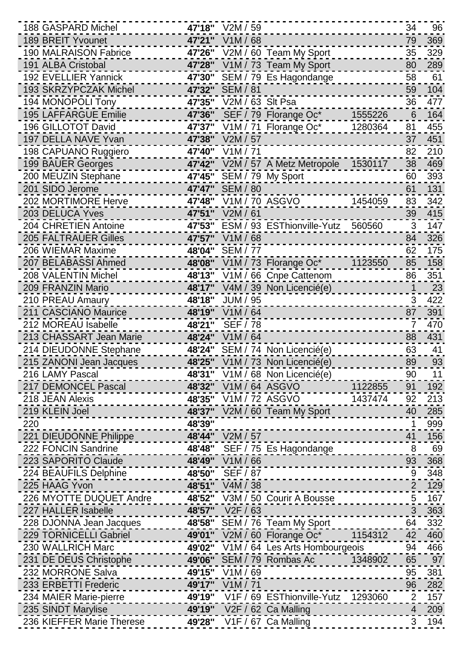| 188 GASPARD Michel                                                                                                                                                                   | 47'18" V2M / 59 |  | _ _ _ _ _ _ _ _ _ _ _ _ _ _ _ _              |         | 34          | 96                          |
|--------------------------------------------------------------------------------------------------------------------------------------------------------------------------------------|-----------------|--|----------------------------------------------|---------|-------------|-----------------------------|
| 189 BREIT Yvounet                                                                                                                                                                    | 47'21" V1M / 68 |  |                                              |         | 79          | 369                         |
| 190 MALRAISON Fabrice ________ 47'26" V2M / 60 Team My Sport                                                                                                                         |                 |  |                                              |         | 35          | 329                         |
| 191 ALBA Cristobal<br>.                                                                                                                                                              |                 |  | 47'28" V1M / 73 Team My Sport                |         | 80          | 289                         |
| 192 EVELLIER Yannick                                                                                                                                                                 |                 |  | 47'30" SEM / 79 Es Hagondange                |         | 58          | 61                          |
| 193 SKRZYPCZAK Michel                                                                                                                                                                | 47'32" SEM / 81 |  | <u>------------</u> -                        |         | 59          | 104                         |
| 194 MONOPOLI Tony                                                                                                                                                                    |                 |  | 47'35" V2M / 63 Slt Psa                      |         | 36          | 477                         |
| 195 LAFFARGUE Emilie                                                                                                                                                                 |                 |  | 47'36" SEF / 79 Florange Oc* 1555226         |         | 6           | 164                         |
| 196 GILLOTOT David<br>_ _ _ _ _ _ _ _ _                                                                                                                                              |                 |  | 47'37" V1M / 71 Florange Oc* _ _ _ _ 1280364 |         | 81          | 455                         |
| 197 DELLA NAVE Yvan                                                                                                                                                                  | 47'38" V2M / 57 |  | ______________                               |         | 37          | 451                         |
| 198 CAPUANO Ruggiero                                                                                                                                                                 | 47'40" V1M / 71 |  |                                              |         | 82          | 210                         |
| 199 BAUER Georges<br>_ _ _ _ _ _ _ _ _                                                                                                                                               |                 |  | 47'42" V2M / 57 A Metz Metropole 1530117     |         | 38          | 469                         |
| 200 MEUZIN Stephane<br><u>----------</u>                                                                                                                                             |                 |  | 47'45" SEM / 79 My Sport<br>---------        |         | 60          | 393                         |
| 201 SIDO Jerome                                                                                                                                                                      | 47'47" SEM / 80 |  |                                              |         | 61          | 131                         |
| 202 MORTIMORE Herve                                                                                                                                                                  |                 |  | 47'48" V1M 7 70 ASGVO                        | 1454059 | 83          | 342                         |
| 203 DELUCA Yves                                                                                                                                                                      | 47'51" V2M / 61 |  |                                              |         | 39          | 415                         |
| 204 CHRETIEN Antoine                                                                                                                                                                 |                 |  | 47'53" ESM / 93 ESThionville-Yutz 560560     |         | 3           | 147                         |
| 205 FALTRAUER Gilles<br>$\frac{1}{2}$                                                                                                                                                | 47'57" V1M / 68 |  | _____________                                |         | 84          | 326                         |
| 206 WIEMAR Maxime                                                                                                                                                                    | 48'04" SEM / 77 |  |                                              |         | 62          | 175                         |
| 207 BELABASSI Ahmed                                                                                                                                                                  |                 |  | 48'08" V1M / 73 Florange Oc* 1123550         |         | 85          | 158                         |
| 208 VALENTIN Michel                                                                                                                                                                  |                 |  | 48'13" V1M / 66 Cnpe Cattenom                |         | 86          | 351                         |
| 209 FRANZIN Mario                                                                                                                                                                    |                 |  | 48'17" V4M / 39 Non Licencié(e)              |         |             | 23                          |
| 210 PREAU Amaury                                                                                                                                                                     | 48'18" JUM / 95 |  | - - - - <b>- - - - - - - - -</b> -           |         | 3           | 422                         |
| 211 CASCIANO Maurice                                                                                                                                                                 | 48'19" V1M / 64 |  | .                                            |         | 87          | 391                         |
| 212 MOREAU Isabelle                                                                                                                                                                  | 48'21" SEF / 78 |  |                                              |         |             | 470                         |
| 213 CHASSART Jean Marie                                                                                                                                                              | 48'24" V1M / 64 |  |                                              |         | 88          | 431                         |
| 214 DIEUDONNE Stephane<br>214 DIEUDONNE Stephane<br>222 - 222 - 224 - 225 - 226 - 227 - 227 - 228 - 229 - 229 - 229 - 229 - 229 - 229 - 229 - 229 - 229 - 229 - 2                    |                 |  |                                              |         | 63          | 41                          |
| 215 ZANONI Jean Jacques                                                                                                                                                              |                 |  | 48'25" V1M / 73 Non Licencié(e)              |         | 89          | 93                          |
| .<br>216 LAMY Pascal _ _ _ _ _ _ _ _ _ _ _ _ 48'31" _V1M / 68 _Non Licencié(e) _ _ _ _ _ _ _ _ _ _ _                                                                                 |                 |  |                                              |         | 90          | $\overline{\phantom{0}}$ 11 |
| 217 DEMONCEL Pascal _________ 48'32" V1M / 64 ASGVO _______ 1122855 __ 91 _ 192                                                                                                      |                 |  |                                              |         |             |                             |
| <u>218 JEAN Alexis _ _ _ _ _ _ _ _ _ _ _ _ 48'35" V1M / 72 ASGVO _ _ _ _ _ _ 1437474 _ _ 92</u>                                                                                      |                 |  |                                              |         |             | 213                         |
| 219 KLEIN Joel ________________48'37" V2M / 60 Team My Sport ____________40 285                                                                                                      |                 |  |                                              |         |             |                             |
|                                                                                                                                                                                      |                 |  |                                              |         | $\mathbf 1$ | 999                         |
|                                                                                                                                                                                      |                 |  |                                              |         |             | 41 156                      |
|                                                                                                                                                                                      |                 |  |                                              |         |             |                             |
| 223 SAPORITO Claude __________ 48'49" V1M / 66 _______________________ 93 _368                                                                                                       |                 |  |                                              |         |             |                             |
|                                                                                                                                                                                      |                 |  |                                              |         |             |                             |
|                                                                                                                                                                                      |                 |  |                                              |         |             |                             |
|                                                                                                                                                                                      |                 |  |                                              |         |             |                             |
|                                                                                                                                                                                      |                 |  | $7 - 7 - 7 - 1 - 1 - 1 - 3 - 363$            |         |             |                             |
|                                                                                                                                                                                      |                 |  |                                              |         |             |                             |
| .<br>228 DJONNA Jean Jacques _______ 48'58"_SEM / 76_Team My Sport ___________ 64 _ 332<br>229 TORNICELLI Gabriel _________ 49'01" _V2M / 60_Florange Oc* _____ 1154312 _ _ 42 _ 460 |                 |  |                                              |         |             |                             |
| 230 WALLRICH Marc ____________ 49'02" V1M / 64 Les Arts Hombourgeois ______ 94 _466                                                                                                  |                 |  |                                              |         |             |                             |
| 231 DE DEUS Christophe ________ 49'06" SEM / 79 Rombas Ac ____ 1348902 __ 65                                                                                                         |                 |  |                                              |         |             | 97                          |
|                                                                                                                                                                                      |                 |  |                                              |         |             |                             |
| <u>233 ERBETTI Frederic 2007 - 2007 - 21M / 71 - 2008 - 233 ERBETTI Frederic 2008 - 2017 - 21M / 71</u>                                                                              |                 |  |                                              |         | 96 282      |                             |
| 234 MAIER Marie-pierre _________ 49'19" _V1F / 69 ESThionville-Yutz _ 1293060 ____2 _157                                                                                             |                 |  |                                              |         |             |                             |
| 235 SINDT Marylise ____________49'19" _V2F / 62 Ca Malling _______________4 _209                                                                                                     |                 |  |                                              |         |             |                             |
| 236 KIEFFER Marie Therese ______ 49'28" V1F/67 Ca Malling ________________ 3 194                                                                                                     |                 |  |                                              |         |             |                             |
|                                                                                                                                                                                      |                 |  |                                              |         |             |                             |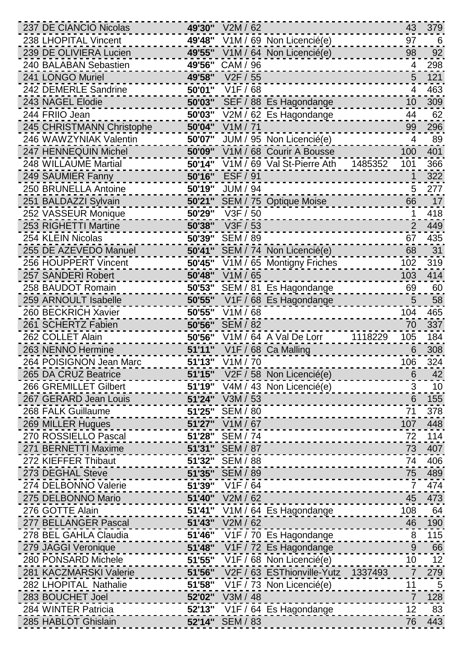| 237 DE CIANCIO Nicolas                                                                                                                                                                                                               | 49'30" V2M / 62 |          |                                               |                     |                | 43 379   |
|--------------------------------------------------------------------------------------------------------------------------------------------------------------------------------------------------------------------------------------|-----------------|----------|-----------------------------------------------|---------------------|----------------|----------|
| 238 LHOPITAL Vincent                                                                                                                                                                                                                 |                 |          | 49'48" V1M / 69 Non Licencié(e)               |                     | 97             | 6        |
| 239 DE OLIVIERA Lucien                                                                                                                                                                                                               |                 |          | 49'55" V1M / 64 Non Licencié(e)               |                     | 98             | 92       |
| 240 BALABAN Sebastien                                                                                                                                                                                                                | 49'56" CAM / 96 |          | ----------------                              |                     | $\overline{4}$ | 298      |
| 241 LONGO Muriel                                                                                                                                                                                                                     | 49'58"          | V2F / 55 |                                               |                     |                | 121      |
| 242 DEMERLE Sandrine<br>$- - - - - -$                                                                                                                                                                                                | 50'01" V1F / 68 |          |                                               |                     | 4              | 463      |
| 243 NAGEL Elodie<br>. <b>.</b>                                                                                                                                                                                                       |                 |          | 50'03" SEF / 88 Es Hagondange                 |                     | 10             | 309      |
| 244 FRIIO Jean                                                                                                                                                                                                                       |                 |          | 50'03" V2M / 62 Es Hagondange                 |                     | 44             | 62       |
| 245 CHRISTMANN Christophe                                                                                                                                                                                                            | 50'04" V1M / 71 |          |                                               |                     | 99             | 296      |
| 246 WAWZYNIAK Valentin<br>$- - - - - - -$                                                                                                                                                                                            |                 |          | 50'07" JUM / 95 Non Licencié(e) ________      |                     | 4              | 89       |
| 247 HENNEQUIN Michel                                                                                                                                                                                                                 |                 |          | 50'09" V1M / 68 Courir A Bousse               |                     | 100            | 401      |
| 248 WILLAUME Martial<br>$- - - - - - -$                                                                                                                                                                                              |                 |          | 50'14" V1M / 69 Val St-Pierre Ath 1485352 101 |                     |                | 366      |
| 249 SAUMIER Fanny<br>$\frac{1}{2}$                                                                                                                                                                                                   | 50'16" ESF / 91 |          | <u>-------------</u>                          |                     |                | 322      |
| 250 BRUNELLA Antoine                                                                                                                                                                                                                 | 50'19" JUM / 94 |          |                                               | $- - - - - - - - -$ | 5              | 277      |
| 251 BALDAZZI Sylvain                                                                                                                                                                                                                 |                 |          | 50'21" SEM / 75 Optique Moise                 |                     | 66             | 17       |
| 252 VASSEUR Monique                                                                                                                                                                                                                  | 50'29" V3F / 50 |          | -----------------                             |                     |                | 418      |
| 253 RIGHETTI Martine                                                                                                                                                                                                                 | 50'38" V3F / 53 |          | _ _ _ _ <b>_ _ _ _ _ _ _ _ _ _ _ _</b> _      |                     |                | 449      |
| 254 KLEIN Nicolas                                                                                                                                                                                                                    | 50'39" SEM / 89 |          |                                               |                     | 67             | 435      |
| 255 DE AZEVEDO Manuel                                                                                                                                                                                                                |                 |          | 50'41" SEM / 74 Non Licencié(e)               |                     | 68             | 31       |
| 256 HOUPPERT Vincent                                                                                                                                                                                                                 |                 |          | 50'45" V1M / 65 Montigny Friches              |                     | 102            | 319      |
| 257 SANDERI Robert                                                                                                                                                                                                                   | 50'48" V1M / 65 |          |                                               |                     | 103            | 414      |
| 258 BAUDOT Romain<br>_ _ _ _ _ _ _ _ _<br>259 ARNOULT Isabelle                                                                                                                                                                       |                 |          | 50'53" SEM / 81 Es Hagondange                 |                     | 69<br>5        | 60<br>58 |
| 260 BECKRICH Xavier                                                                                                                                                                                                                  | 50'55" V1M / 68 |          | 50'55" V1F / 68 Es Hagondange                 |                     | 104            | 465      |
|                                                                                                                                                                                                                                      |                 |          | <u> 2 2 2 2 2 2 2 2 2 2</u>                   |                     |                |          |
|                                                                                                                                                                                                                                      |                 |          |                                               |                     |                |          |
| 261 SCHERTZ Fabien<br>$- - - - - - - -$                                                                                                                                                                                              | 50'56" SEM / 82 |          | $\frac{1}{2}$                                 |                     | 70             | 337      |
| 262 COLLET Alain<br>-------                                                                                                                                                                                                          |                 |          | 50'56" V1M / 64 A Val De Lorr 1118229 105     |                     |                | 184      |
| 263 NENNO Hermine                                                                                                                                                                                                                    |                 |          | 51'11" V1F / 68 Ca Malling<br>$- - - - - - -$ |                     |                | 308      |
| 264 POISIGNON Jean Marc                                                                                                                                                                                                              | 51'13" V1M / 70 |          |                                               |                     | 106            | 324      |
| 265 DA CRUZ Beatrice ___________51'15" _V2F / 58 Non Licencié(e) _____________6 __42                                                                                                                                                 |                 |          |                                               |                     |                |          |
| 266 GREMILLET Gilbert 2000 2019 1919 194M / 43 Non Licencié(e) 2000 2010 2010 2010                                                                                                                                                   |                 |          |                                               |                     |                |          |
| 267 GERARD Jean Louis _________ 51'24" V3M / 53 __________________________6 _155                                                                                                                                                     |                 |          |                                               |                     |                |          |
| 268 FALK Guillaume _____________51'25" SEM / 80 ___________________________71                                                                                                                                                        |                 |          |                                               |                     |                | 378      |
|                                                                                                                                                                                                                                      |                 |          |                                               |                     |                |          |
|                                                                                                                                                                                                                                      |                 |          |                                               |                     |                |          |
|                                                                                                                                                                                                                                      |                 |          |                                               |                     |                |          |
|                                                                                                                                                                                                                                      |                 |          |                                               |                     |                |          |
|                                                                                                                                                                                                                                      |                 |          |                                               |                     |                |          |
|                                                                                                                                                                                                                                      |                 |          |                                               |                     |                |          |
| 274 DELBONNO Valerie<br>1975 DELBONNO Mario – 1986 – 1987 – 1988 – 1988 – 1988 – 1988 – 1988 – 1988 – 1988 – 1988 – 1988 – 1988 – 198<br>1975 DELBONNO Mario – 1988 – 1988 – 1988 – 1988 – 1988 – 1988 – 1988 – 1988 – 1988 – 1988 – |                 |          |                                               |                     |                |          |
|                                                                                                                                                                                                                                      |                 |          |                                               |                     |                |          |
|                                                                                                                                                                                                                                      |                 |          |                                               |                     |                |          |
| 279 JAGGI Veronique _____________51'48" _V1F / 72 Es Hagondange ______________9 _66                                                                                                                                                  |                 |          |                                               |                     |                |          |
|                                                                                                                                                                                                                                      |                 |          |                                               |                     |                |          |
| - 280 PONSARD Michele - - - - - - - - - - 51'55" - V1F / 68 Non Licencié(e) _ - - - - - - - - - - - - - - - - 10<br>- 281 KACZMARSKI Valerie _ _ _ _ _ _ _ 51'56" _ V2F / 63_ESThionville-Yutz _ 1337493 _ _ _ 7 _ 279               |                 |          |                                               |                     |                |          |
|                                                                                                                                                                                                                                      |                 |          |                                               |                     |                |          |
|                                                                                                                                                                                                                                      |                 |          |                                               |                     |                |          |
|                                                                                                                                                                                                                                      |                 |          | -----------------------76 443                 |                     |                |          |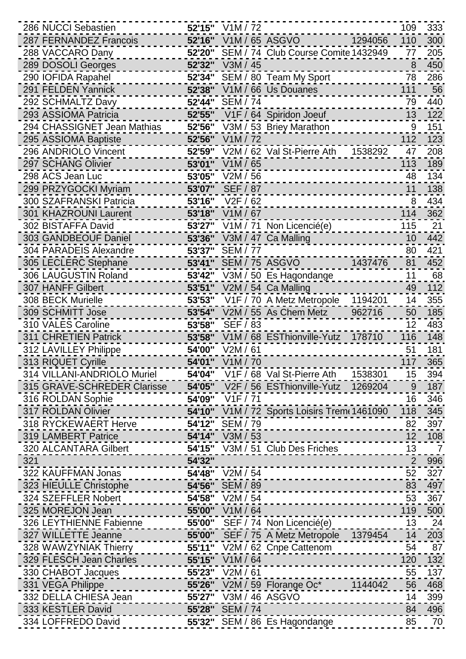| $    -$ 52'15" $\sqrt{10}$ / 72<br>. <u>.</u> .<br>52'16" V1M / 65 ASGVO<br>1294056 110<br>287 FERNANDEZ Francois ________<br>300<br>52'20" SEM / 74 Club Course Comite 1432949<br>288 VACCARO Dany<br>205<br>77<br><u>--------</u> ---<br>52'32" V3M / 45<br>289 DOSOLI Georges<br>450<br><u>-------------</u><br>290 IOFIDA Rapahel<br>52'34" SEM / 80 Team My Sport<br>78<br>286<br><u>---------</u> -<br>$\frac{1}{2}$<br>291 FELDEN Yannick<br>52'38" V1M / 66 Us Douanes<br>56<br>111<br>.<br>292 SCHMALTZ Davy<br>52'44" SEM / 74<br>440<br>79<br>.<br>----------<br>52'55" V1F / 64 Spiridon Joeuf<br>293 ASSIOMA Patricia<br>13<br>122<br>294 CHASSIGNET Jean Mathias ___ 52'56" V3M / 53 Briey Marathon<br>151<br>--------- 52'56" V1M/72<br>112<br>123<br>295 ASSIOMA Baptiste<br>----------------<br>52'59" V2M / 62 Val St-Pierre Ath 1538292<br>296 ANDRIOLO Vincent<br>208<br>47<br>_________<br>53'01" V1M / 65<br>297 SCHANG Olivier<br>189<br>113<br>------------<br>298 ACS Jean Luc<br>53'05" V2M / 56<br>134<br>48<br><u>----------</u><br><u>--------------------</u> -<br>299 PRZYGOCKI Myriam<br>53'07" SEF / 87<br>138<br>11<br>.<br>300 SZAFRANSKI Patricia 53'16" V2F / 62<br>434<br>8<br>--------------------<br>301 KHAZROUNI Laurent<br>53'18" V1M / 67<br>114<br>362<br>$- - - - - - -$<br>,,,,,,,,,,,,<br>$53'27''$ $\sqrt{1}M / 71$ Non Licencié(e) _________<br>302 BISTAFFA David<br>115<br>21<br>. <i>.</i><br>303 GANDBEOUF Daniel ________ 53'36" V3M / 47 Ca Malling<br>442<br>10<br>53'37" SEM / 77<br>304 PARADEIS Alexandre<br>80<br>421<br>.<br>53'41" SEM / 75 ASGVO 1437476<br>305 LECLERC Stephane<br>81<br>452<br>.<br>306 LAUGUSTIN Roland<br>53'42" V3M / 50 Es Hagondange<br>11<br>68<br><u>---------</u><br>307 HANFF Gilbert<br>53'51" V2M / 54 Ca Malling<br>112<br>49<br><u>.</u><br>53'53" V1F / 70 A Metz Metropole 1194201<br>308 BECK Murielle<br>14<br>355<br>_ _ _ _ _ _ _ _ _ _<br>53'54" V2M / 55 As Chem Metz 962716<br>309 SCHMITT Jose<br>50<br>185<br>----------<br>310 VALES Caroline<br>53'58" SEF / 83<br>12<br>483<br>$\frac{1}{2}$<br>53'58" V1M / 68 ESThionville-Yutz 178710<br>311 CHRETIEN Patrick<br>116<br>148<br>312 LAVILLEY Philippe<br>54'00" V2M / 61<br>181<br>51<br><u>--------</u><br><u>---------------</u><br>313 RIQUET Cyrille<br>54'01" V1M / 70<br>117<br>365<br>314 VILLANI-ANDRIOLO Muriel - - - - 54'04" V1F / 68 Val St-Pierre Ath 1538301 15 394<br>315 GRAVE-SCHREDER Clarisse ___ 54'05" _V2F / 56_ESThionville-Yutz __1269204 ___ 9 _187<br>320 ALCANTARA Gilbert _________ 54'15" V3M / 51 Club Des Friches____________13____7<br>324 SZEFFLER Nobert<br>1925 MOREJON Jean 1989 - 1989 - 1989 - 1989 - 1989 - 1989 - 1989 - 1989 - 1989 - 1989 - 1989 - 1989 - 1989 - 1<br>19 - 500 - 1989 - 1989 - 1989 - 1989 - 1989 - 1989 - 1989 - 1989 - 1989 - 1989 - 1989 - 198<br>328 WAWZYNIAK Thierry _______ 55'11" V2M / 62 Cnpe Cattenom __________ 54 __ 87<br>329 FLESCH Jean Charles ________ 55'15" V1M / 64 ________________________ 120<br>132<br>332 DELLA CHIESA Jean<br>14 DELLA CHIESA Jean - - - - - - - - - 55'27" - V3M / 46 ASGVO - - - - - - - - - - - - - - - - 14<br>399<br>- 333 KESTLER David<br>- 334 LOFFREDO David<br>- 334 LOFFREDO David - - - - - - - - - - 55'32" SEM / 86 Es Hagondange - - - - - - - - - - - - 84 - 496 . | 286 NUCCI Sebastien |  |  | 109 | 333 |
|--------------------------------------------------------------------------------------------------------------------------------------------------------------------------------------------------------------------------------------------------------------------------------------------------------------------------------------------------------------------------------------------------------------------------------------------------------------------------------------------------------------------------------------------------------------------------------------------------------------------------------------------------------------------------------------------------------------------------------------------------------------------------------------------------------------------------------------------------------------------------------------------------------------------------------------------------------------------------------------------------------------------------------------------------------------------------------------------------------------------------------------------------------------------------------------------------------------------------------------------------------------------------------------------------------------------------------------------------------------------------------------------------------------------------------------------------------------------------------------------------------------------------------------------------------------------------------------------------------------------------------------------------------------------------------------------------------------------------------------------------------------------------------------------------------------------------------------------------------------------------------------------------------------------------------------------------------------------------------------------------------------------------------------------------------------------------------------------------------------------------------------------------------------------------------------------------------------------------------------------------------------------------------------------------------------------------------------------------------------------------------------------------------------------------------------------------------------------------------------------------------------------------------------------------------------------------------------------------------------------------------------------------------------------------------------------------------------------------------------------------------------------------------------------------------------------------------------------------------------------------------------------------------------------------------------------------------------------------------------------------------------------------------------------------------------------------------------------------------------------------------------------------------------------------------------------------------------------------------------------------------------------------------------------------------------------------------------------------------|---------------------|--|--|-----|-----|
|                                                                                                                                                                                                                                                                                                                                                                                                                                                                                                                                                                                                                                                                                                                                                                                                                                                                                                                                                                                                                                                                                                                                                                                                                                                                                                                                                                                                                                                                                                                                                                                                                                                                                                                                                                                                                                                                                                                                                                                                                                                                                                                                                                                                                                                                                                                                                                                                                                                                                                                                                                                                                                                                                                                                                                                                                                                                                                                                                                                                                                                                                                                                                                                                                                                                                                                                                        |                     |  |  |     |     |
|                                                                                                                                                                                                                                                                                                                                                                                                                                                                                                                                                                                                                                                                                                                                                                                                                                                                                                                                                                                                                                                                                                                                                                                                                                                                                                                                                                                                                                                                                                                                                                                                                                                                                                                                                                                                                                                                                                                                                                                                                                                                                                                                                                                                                                                                                                                                                                                                                                                                                                                                                                                                                                                                                                                                                                                                                                                                                                                                                                                                                                                                                                                                                                                                                                                                                                                                                        |                     |  |  |     |     |
|                                                                                                                                                                                                                                                                                                                                                                                                                                                                                                                                                                                                                                                                                                                                                                                                                                                                                                                                                                                                                                                                                                                                                                                                                                                                                                                                                                                                                                                                                                                                                                                                                                                                                                                                                                                                                                                                                                                                                                                                                                                                                                                                                                                                                                                                                                                                                                                                                                                                                                                                                                                                                                                                                                                                                                                                                                                                                                                                                                                                                                                                                                                                                                                                                                                                                                                                                        |                     |  |  |     |     |
|                                                                                                                                                                                                                                                                                                                                                                                                                                                                                                                                                                                                                                                                                                                                                                                                                                                                                                                                                                                                                                                                                                                                                                                                                                                                                                                                                                                                                                                                                                                                                                                                                                                                                                                                                                                                                                                                                                                                                                                                                                                                                                                                                                                                                                                                                                                                                                                                                                                                                                                                                                                                                                                                                                                                                                                                                                                                                                                                                                                                                                                                                                                                                                                                                                                                                                                                                        |                     |  |  |     |     |
|                                                                                                                                                                                                                                                                                                                                                                                                                                                                                                                                                                                                                                                                                                                                                                                                                                                                                                                                                                                                                                                                                                                                                                                                                                                                                                                                                                                                                                                                                                                                                                                                                                                                                                                                                                                                                                                                                                                                                                                                                                                                                                                                                                                                                                                                                                                                                                                                                                                                                                                                                                                                                                                                                                                                                                                                                                                                                                                                                                                                                                                                                                                                                                                                                                                                                                                                                        |                     |  |  |     |     |
|                                                                                                                                                                                                                                                                                                                                                                                                                                                                                                                                                                                                                                                                                                                                                                                                                                                                                                                                                                                                                                                                                                                                                                                                                                                                                                                                                                                                                                                                                                                                                                                                                                                                                                                                                                                                                                                                                                                                                                                                                                                                                                                                                                                                                                                                                                                                                                                                                                                                                                                                                                                                                                                                                                                                                                                                                                                                                                                                                                                                                                                                                                                                                                                                                                                                                                                                                        |                     |  |  |     |     |
|                                                                                                                                                                                                                                                                                                                                                                                                                                                                                                                                                                                                                                                                                                                                                                                                                                                                                                                                                                                                                                                                                                                                                                                                                                                                                                                                                                                                                                                                                                                                                                                                                                                                                                                                                                                                                                                                                                                                                                                                                                                                                                                                                                                                                                                                                                                                                                                                                                                                                                                                                                                                                                                                                                                                                                                                                                                                                                                                                                                                                                                                                                                                                                                                                                                                                                                                                        |                     |  |  |     |     |
|                                                                                                                                                                                                                                                                                                                                                                                                                                                                                                                                                                                                                                                                                                                                                                                                                                                                                                                                                                                                                                                                                                                                                                                                                                                                                                                                                                                                                                                                                                                                                                                                                                                                                                                                                                                                                                                                                                                                                                                                                                                                                                                                                                                                                                                                                                                                                                                                                                                                                                                                                                                                                                                                                                                                                                                                                                                                                                                                                                                                                                                                                                                                                                                                                                                                                                                                                        |                     |  |  |     |     |
|                                                                                                                                                                                                                                                                                                                                                                                                                                                                                                                                                                                                                                                                                                                                                                                                                                                                                                                                                                                                                                                                                                                                                                                                                                                                                                                                                                                                                                                                                                                                                                                                                                                                                                                                                                                                                                                                                                                                                                                                                                                                                                                                                                                                                                                                                                                                                                                                                                                                                                                                                                                                                                                                                                                                                                                                                                                                                                                                                                                                                                                                                                                                                                                                                                                                                                                                                        |                     |  |  |     |     |
|                                                                                                                                                                                                                                                                                                                                                                                                                                                                                                                                                                                                                                                                                                                                                                                                                                                                                                                                                                                                                                                                                                                                                                                                                                                                                                                                                                                                                                                                                                                                                                                                                                                                                                                                                                                                                                                                                                                                                                                                                                                                                                                                                                                                                                                                                                                                                                                                                                                                                                                                                                                                                                                                                                                                                                                                                                                                                                                                                                                                                                                                                                                                                                                                                                                                                                                                                        |                     |  |  |     |     |
|                                                                                                                                                                                                                                                                                                                                                                                                                                                                                                                                                                                                                                                                                                                                                                                                                                                                                                                                                                                                                                                                                                                                                                                                                                                                                                                                                                                                                                                                                                                                                                                                                                                                                                                                                                                                                                                                                                                                                                                                                                                                                                                                                                                                                                                                                                                                                                                                                                                                                                                                                                                                                                                                                                                                                                                                                                                                                                                                                                                                                                                                                                                                                                                                                                                                                                                                                        |                     |  |  |     |     |
|                                                                                                                                                                                                                                                                                                                                                                                                                                                                                                                                                                                                                                                                                                                                                                                                                                                                                                                                                                                                                                                                                                                                                                                                                                                                                                                                                                                                                                                                                                                                                                                                                                                                                                                                                                                                                                                                                                                                                                                                                                                                                                                                                                                                                                                                                                                                                                                                                                                                                                                                                                                                                                                                                                                                                                                                                                                                                                                                                                                                                                                                                                                                                                                                                                                                                                                                                        |                     |  |  |     |     |
|                                                                                                                                                                                                                                                                                                                                                                                                                                                                                                                                                                                                                                                                                                                                                                                                                                                                                                                                                                                                                                                                                                                                                                                                                                                                                                                                                                                                                                                                                                                                                                                                                                                                                                                                                                                                                                                                                                                                                                                                                                                                                                                                                                                                                                                                                                                                                                                                                                                                                                                                                                                                                                                                                                                                                                                                                                                                                                                                                                                                                                                                                                                                                                                                                                                                                                                                                        |                     |  |  |     |     |
|                                                                                                                                                                                                                                                                                                                                                                                                                                                                                                                                                                                                                                                                                                                                                                                                                                                                                                                                                                                                                                                                                                                                                                                                                                                                                                                                                                                                                                                                                                                                                                                                                                                                                                                                                                                                                                                                                                                                                                                                                                                                                                                                                                                                                                                                                                                                                                                                                                                                                                                                                                                                                                                                                                                                                                                                                                                                                                                                                                                                                                                                                                                                                                                                                                                                                                                                                        |                     |  |  |     |     |
|                                                                                                                                                                                                                                                                                                                                                                                                                                                                                                                                                                                                                                                                                                                                                                                                                                                                                                                                                                                                                                                                                                                                                                                                                                                                                                                                                                                                                                                                                                                                                                                                                                                                                                                                                                                                                                                                                                                                                                                                                                                                                                                                                                                                                                                                                                                                                                                                                                                                                                                                                                                                                                                                                                                                                                                                                                                                                                                                                                                                                                                                                                                                                                                                                                                                                                                                                        |                     |  |  |     |     |
|                                                                                                                                                                                                                                                                                                                                                                                                                                                                                                                                                                                                                                                                                                                                                                                                                                                                                                                                                                                                                                                                                                                                                                                                                                                                                                                                                                                                                                                                                                                                                                                                                                                                                                                                                                                                                                                                                                                                                                                                                                                                                                                                                                                                                                                                                                                                                                                                                                                                                                                                                                                                                                                                                                                                                                                                                                                                                                                                                                                                                                                                                                                                                                                                                                                                                                                                                        |                     |  |  |     |     |
|                                                                                                                                                                                                                                                                                                                                                                                                                                                                                                                                                                                                                                                                                                                                                                                                                                                                                                                                                                                                                                                                                                                                                                                                                                                                                                                                                                                                                                                                                                                                                                                                                                                                                                                                                                                                                                                                                                                                                                                                                                                                                                                                                                                                                                                                                                                                                                                                                                                                                                                                                                                                                                                                                                                                                                                                                                                                                                                                                                                                                                                                                                                                                                                                                                                                                                                                                        |                     |  |  |     |     |
|                                                                                                                                                                                                                                                                                                                                                                                                                                                                                                                                                                                                                                                                                                                                                                                                                                                                                                                                                                                                                                                                                                                                                                                                                                                                                                                                                                                                                                                                                                                                                                                                                                                                                                                                                                                                                                                                                                                                                                                                                                                                                                                                                                                                                                                                                                                                                                                                                                                                                                                                                                                                                                                                                                                                                                                                                                                                                                                                                                                                                                                                                                                                                                                                                                                                                                                                                        |                     |  |  |     |     |
|                                                                                                                                                                                                                                                                                                                                                                                                                                                                                                                                                                                                                                                                                                                                                                                                                                                                                                                                                                                                                                                                                                                                                                                                                                                                                                                                                                                                                                                                                                                                                                                                                                                                                                                                                                                                                                                                                                                                                                                                                                                                                                                                                                                                                                                                                                                                                                                                                                                                                                                                                                                                                                                                                                                                                                                                                                                                                                                                                                                                                                                                                                                                                                                                                                                                                                                                                        |                     |  |  |     |     |
|                                                                                                                                                                                                                                                                                                                                                                                                                                                                                                                                                                                                                                                                                                                                                                                                                                                                                                                                                                                                                                                                                                                                                                                                                                                                                                                                                                                                                                                                                                                                                                                                                                                                                                                                                                                                                                                                                                                                                                                                                                                                                                                                                                                                                                                                                                                                                                                                                                                                                                                                                                                                                                                                                                                                                                                                                                                                                                                                                                                                                                                                                                                                                                                                                                                                                                                                                        |                     |  |  |     |     |
|                                                                                                                                                                                                                                                                                                                                                                                                                                                                                                                                                                                                                                                                                                                                                                                                                                                                                                                                                                                                                                                                                                                                                                                                                                                                                                                                                                                                                                                                                                                                                                                                                                                                                                                                                                                                                                                                                                                                                                                                                                                                                                                                                                                                                                                                                                                                                                                                                                                                                                                                                                                                                                                                                                                                                                                                                                                                                                                                                                                                                                                                                                                                                                                                                                                                                                                                                        |                     |  |  |     |     |
|                                                                                                                                                                                                                                                                                                                                                                                                                                                                                                                                                                                                                                                                                                                                                                                                                                                                                                                                                                                                                                                                                                                                                                                                                                                                                                                                                                                                                                                                                                                                                                                                                                                                                                                                                                                                                                                                                                                                                                                                                                                                                                                                                                                                                                                                                                                                                                                                                                                                                                                                                                                                                                                                                                                                                                                                                                                                                                                                                                                                                                                                                                                                                                                                                                                                                                                                                        |                     |  |  |     |     |
|                                                                                                                                                                                                                                                                                                                                                                                                                                                                                                                                                                                                                                                                                                                                                                                                                                                                                                                                                                                                                                                                                                                                                                                                                                                                                                                                                                                                                                                                                                                                                                                                                                                                                                                                                                                                                                                                                                                                                                                                                                                                                                                                                                                                                                                                                                                                                                                                                                                                                                                                                                                                                                                                                                                                                                                                                                                                                                                                                                                                                                                                                                                                                                                                                                                                                                                                                        |                     |  |  |     |     |
|                                                                                                                                                                                                                                                                                                                                                                                                                                                                                                                                                                                                                                                                                                                                                                                                                                                                                                                                                                                                                                                                                                                                                                                                                                                                                                                                                                                                                                                                                                                                                                                                                                                                                                                                                                                                                                                                                                                                                                                                                                                                                                                                                                                                                                                                                                                                                                                                                                                                                                                                                                                                                                                                                                                                                                                                                                                                                                                                                                                                                                                                                                                                                                                                                                                                                                                                                        |                     |  |  |     |     |
|                                                                                                                                                                                                                                                                                                                                                                                                                                                                                                                                                                                                                                                                                                                                                                                                                                                                                                                                                                                                                                                                                                                                                                                                                                                                                                                                                                                                                                                                                                                                                                                                                                                                                                                                                                                                                                                                                                                                                                                                                                                                                                                                                                                                                                                                                                                                                                                                                                                                                                                                                                                                                                                                                                                                                                                                                                                                                                                                                                                                                                                                                                                                                                                                                                                                                                                                                        |                     |  |  |     |     |
|                                                                                                                                                                                                                                                                                                                                                                                                                                                                                                                                                                                                                                                                                                                                                                                                                                                                                                                                                                                                                                                                                                                                                                                                                                                                                                                                                                                                                                                                                                                                                                                                                                                                                                                                                                                                                                                                                                                                                                                                                                                                                                                                                                                                                                                                                                                                                                                                                                                                                                                                                                                                                                                                                                                                                                                                                                                                                                                                                                                                                                                                                                                                                                                                                                                                                                                                                        |                     |  |  |     |     |
|                                                                                                                                                                                                                                                                                                                                                                                                                                                                                                                                                                                                                                                                                                                                                                                                                                                                                                                                                                                                                                                                                                                                                                                                                                                                                                                                                                                                                                                                                                                                                                                                                                                                                                                                                                                                                                                                                                                                                                                                                                                                                                                                                                                                                                                                                                                                                                                                                                                                                                                                                                                                                                                                                                                                                                                                                                                                                                                                                                                                                                                                                                                                                                                                                                                                                                                                                        |                     |  |  |     |     |
|                                                                                                                                                                                                                                                                                                                                                                                                                                                                                                                                                                                                                                                                                                                                                                                                                                                                                                                                                                                                                                                                                                                                                                                                                                                                                                                                                                                                                                                                                                                                                                                                                                                                                                                                                                                                                                                                                                                                                                                                                                                                                                                                                                                                                                                                                                                                                                                                                                                                                                                                                                                                                                                                                                                                                                                                                                                                                                                                                                                                                                                                                                                                                                                                                                                                                                                                                        |                     |  |  |     |     |
|                                                                                                                                                                                                                                                                                                                                                                                                                                                                                                                                                                                                                                                                                                                                                                                                                                                                                                                                                                                                                                                                                                                                                                                                                                                                                                                                                                                                                                                                                                                                                                                                                                                                                                                                                                                                                                                                                                                                                                                                                                                                                                                                                                                                                                                                                                                                                                                                                                                                                                                                                                                                                                                                                                                                                                                                                                                                                                                                                                                                                                                                                                                                                                                                                                                                                                                                                        |                     |  |  |     |     |
|                                                                                                                                                                                                                                                                                                                                                                                                                                                                                                                                                                                                                                                                                                                                                                                                                                                                                                                                                                                                                                                                                                                                                                                                                                                                                                                                                                                                                                                                                                                                                                                                                                                                                                                                                                                                                                                                                                                                                                                                                                                                                                                                                                                                                                                                                                                                                                                                                                                                                                                                                                                                                                                                                                                                                                                                                                                                                                                                                                                                                                                                                                                                                                                                                                                                                                                                                        |                     |  |  |     |     |
|                                                                                                                                                                                                                                                                                                                                                                                                                                                                                                                                                                                                                                                                                                                                                                                                                                                                                                                                                                                                                                                                                                                                                                                                                                                                                                                                                                                                                                                                                                                                                                                                                                                                                                                                                                                                                                                                                                                                                                                                                                                                                                                                                                                                                                                                                                                                                                                                                                                                                                                                                                                                                                                                                                                                                                                                                                                                                                                                                                                                                                                                                                                                                                                                                                                                                                                                                        |                     |  |  |     |     |
|                                                                                                                                                                                                                                                                                                                                                                                                                                                                                                                                                                                                                                                                                                                                                                                                                                                                                                                                                                                                                                                                                                                                                                                                                                                                                                                                                                                                                                                                                                                                                                                                                                                                                                                                                                                                                                                                                                                                                                                                                                                                                                                                                                                                                                                                                                                                                                                                                                                                                                                                                                                                                                                                                                                                                                                                                                                                                                                                                                                                                                                                                                                                                                                                                                                                                                                                                        |                     |  |  |     |     |
|                                                                                                                                                                                                                                                                                                                                                                                                                                                                                                                                                                                                                                                                                                                                                                                                                                                                                                                                                                                                                                                                                                                                                                                                                                                                                                                                                                                                                                                                                                                                                                                                                                                                                                                                                                                                                                                                                                                                                                                                                                                                                                                                                                                                                                                                                                                                                                                                                                                                                                                                                                                                                                                                                                                                                                                                                                                                                                                                                                                                                                                                                                                                                                                                                                                                                                                                                        |                     |  |  |     |     |
|                                                                                                                                                                                                                                                                                                                                                                                                                                                                                                                                                                                                                                                                                                                                                                                                                                                                                                                                                                                                                                                                                                                                                                                                                                                                                                                                                                                                                                                                                                                                                                                                                                                                                                                                                                                                                                                                                                                                                                                                                                                                                                                                                                                                                                                                                                                                                                                                                                                                                                                                                                                                                                                                                                                                                                                                                                                                                                                                                                                                                                                                                                                                                                                                                                                                                                                                                        |                     |  |  |     |     |
|                                                                                                                                                                                                                                                                                                                                                                                                                                                                                                                                                                                                                                                                                                                                                                                                                                                                                                                                                                                                                                                                                                                                                                                                                                                                                                                                                                                                                                                                                                                                                                                                                                                                                                                                                                                                                                                                                                                                                                                                                                                                                                                                                                                                                                                                                                                                                                                                                                                                                                                                                                                                                                                                                                                                                                                                                                                                                                                                                                                                                                                                                                                                                                                                                                                                                                                                                        |                     |  |  |     |     |
|                                                                                                                                                                                                                                                                                                                                                                                                                                                                                                                                                                                                                                                                                                                                                                                                                                                                                                                                                                                                                                                                                                                                                                                                                                                                                                                                                                                                                                                                                                                                                                                                                                                                                                                                                                                                                                                                                                                                                                                                                                                                                                                                                                                                                                                                                                                                                                                                                                                                                                                                                                                                                                                                                                                                                                                                                                                                                                                                                                                                                                                                                                                                                                                                                                                                                                                                                        |                     |  |  |     |     |
|                                                                                                                                                                                                                                                                                                                                                                                                                                                                                                                                                                                                                                                                                                                                                                                                                                                                                                                                                                                                                                                                                                                                                                                                                                                                                                                                                                                                                                                                                                                                                                                                                                                                                                                                                                                                                                                                                                                                                                                                                                                                                                                                                                                                                                                                                                                                                                                                                                                                                                                                                                                                                                                                                                                                                                                                                                                                                                                                                                                                                                                                                                                                                                                                                                                                                                                                                        |                     |  |  |     |     |
|                                                                                                                                                                                                                                                                                                                                                                                                                                                                                                                                                                                                                                                                                                                                                                                                                                                                                                                                                                                                                                                                                                                                                                                                                                                                                                                                                                                                                                                                                                                                                                                                                                                                                                                                                                                                                                                                                                                                                                                                                                                                                                                                                                                                                                                                                                                                                                                                                                                                                                                                                                                                                                                                                                                                                                                                                                                                                                                                                                                                                                                                                                                                                                                                                                                                                                                                                        |                     |  |  |     |     |
|                                                                                                                                                                                                                                                                                                                                                                                                                                                                                                                                                                                                                                                                                                                                                                                                                                                                                                                                                                                                                                                                                                                                                                                                                                                                                                                                                                                                                                                                                                                                                                                                                                                                                                                                                                                                                                                                                                                                                                                                                                                                                                                                                                                                                                                                                                                                                                                                                                                                                                                                                                                                                                                                                                                                                                                                                                                                                                                                                                                                                                                                                                                                                                                                                                                                                                                                                        |                     |  |  |     |     |
|                                                                                                                                                                                                                                                                                                                                                                                                                                                                                                                                                                                                                                                                                                                                                                                                                                                                                                                                                                                                                                                                                                                                                                                                                                                                                                                                                                                                                                                                                                                                                                                                                                                                                                                                                                                                                                                                                                                                                                                                                                                                                                                                                                                                                                                                                                                                                                                                                                                                                                                                                                                                                                                                                                                                                                                                                                                                                                                                                                                                                                                                                                                                                                                                                                                                                                                                                        |                     |  |  |     |     |
|                                                                                                                                                                                                                                                                                                                                                                                                                                                                                                                                                                                                                                                                                                                                                                                                                                                                                                                                                                                                                                                                                                                                                                                                                                                                                                                                                                                                                                                                                                                                                                                                                                                                                                                                                                                                                                                                                                                                                                                                                                                                                                                                                                                                                                                                                                                                                                                                                                                                                                                                                                                                                                                                                                                                                                                                                                                                                                                                                                                                                                                                                                                                                                                                                                                                                                                                                        |                     |  |  |     |     |
|                                                                                                                                                                                                                                                                                                                                                                                                                                                                                                                                                                                                                                                                                                                                                                                                                                                                                                                                                                                                                                                                                                                                                                                                                                                                                                                                                                                                                                                                                                                                                                                                                                                                                                                                                                                                                                                                                                                                                                                                                                                                                                                                                                                                                                                                                                                                                                                                                                                                                                                                                                                                                                                                                                                                                                                                                                                                                                                                                                                                                                                                                                                                                                                                                                                                                                                                                        |                     |  |  |     |     |
|                                                                                                                                                                                                                                                                                                                                                                                                                                                                                                                                                                                                                                                                                                                                                                                                                                                                                                                                                                                                                                                                                                                                                                                                                                                                                                                                                                                                                                                                                                                                                                                                                                                                                                                                                                                                                                                                                                                                                                                                                                                                                                                                                                                                                                                                                                                                                                                                                                                                                                                                                                                                                                                                                                                                                                                                                                                                                                                                                                                                                                                                                                                                                                                                                                                                                                                                                        |                     |  |  |     |     |
|                                                                                                                                                                                                                                                                                                                                                                                                                                                                                                                                                                                                                                                                                                                                                                                                                                                                                                                                                                                                                                                                                                                                                                                                                                                                                                                                                                                                                                                                                                                                                                                                                                                                                                                                                                                                                                                                                                                                                                                                                                                                                                                                                                                                                                                                                                                                                                                                                                                                                                                                                                                                                                                                                                                                                                                                                                                                                                                                                                                                                                                                                                                                                                                                                                                                                                                                                        |                     |  |  |     |     |
|                                                                                                                                                                                                                                                                                                                                                                                                                                                                                                                                                                                                                                                                                                                                                                                                                                                                                                                                                                                                                                                                                                                                                                                                                                                                                                                                                                                                                                                                                                                                                                                                                                                                                                                                                                                                                                                                                                                                                                                                                                                                                                                                                                                                                                                                                                                                                                                                                                                                                                                                                                                                                                                                                                                                                                                                                                                                                                                                                                                                                                                                                                                                                                                                                                                                                                                                                        |                     |  |  |     |     |
|                                                                                                                                                                                                                                                                                                                                                                                                                                                                                                                                                                                                                                                                                                                                                                                                                                                                                                                                                                                                                                                                                                                                                                                                                                                                                                                                                                                                                                                                                                                                                                                                                                                                                                                                                                                                                                                                                                                                                                                                                                                                                                                                                                                                                                                                                                                                                                                                                                                                                                                                                                                                                                                                                                                                                                                                                                                                                                                                                                                                                                                                                                                                                                                                                                                                                                                                                        |                     |  |  |     |     |
|                                                                                                                                                                                                                                                                                                                                                                                                                                                                                                                                                                                                                                                                                                                                                                                                                                                                                                                                                                                                                                                                                                                                                                                                                                                                                                                                                                                                                                                                                                                                                                                                                                                                                                                                                                                                                                                                                                                                                                                                                                                                                                                                                                                                                                                                                                                                                                                                                                                                                                                                                                                                                                                                                                                                                                                                                                                                                                                                                                                                                                                                                                                                                                                                                                                                                                                                                        |                     |  |  |     |     |
|                                                                                                                                                                                                                                                                                                                                                                                                                                                                                                                                                                                                                                                                                                                                                                                                                                                                                                                                                                                                                                                                                                                                                                                                                                                                                                                                                                                                                                                                                                                                                                                                                                                                                                                                                                                                                                                                                                                                                                                                                                                                                                                                                                                                                                                                                                                                                                                                                                                                                                                                                                                                                                                                                                                                                                                                                                                                                                                                                                                                                                                                                                                                                                                                                                                                                                                                                        |                     |  |  |     |     |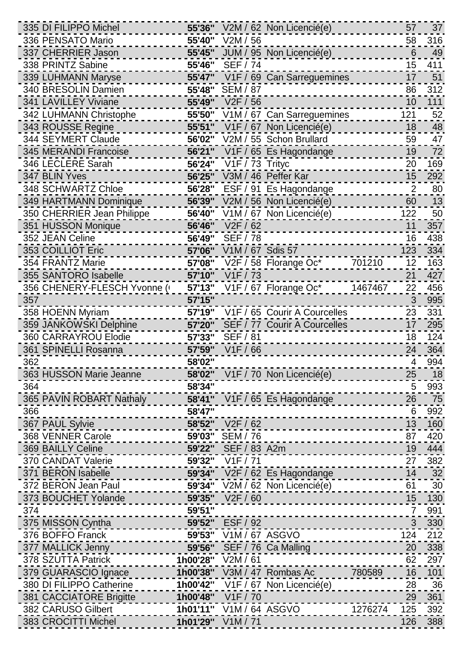| 335 DI FILIPPO Michel                                                                                                             |                        |                                   | 55'36" V2M / 62 Non Licencié(e)       |                   | 57             | 37         |
|-----------------------------------------------------------------------------------------------------------------------------------|------------------------|-----------------------------------|---------------------------------------|-------------------|----------------|------------|
| 336 PENSATO Mario                                                                                                                 | 55'40" V2M / 56        |                                   |                                       |                   | 58             | 316        |
| 337 CHERRIER Jason                                                                                                                |                        |                                   | 55'45" JUM / 95 Non Licencié(e)       |                   | 6              | 49         |
| 338 PRINTZ Sabine                                                                                                                 | 55'46" SEF / 74        |                                   |                                       |                   | 15             | 411        |
| 339 LUHMANN Maryse                                                                                                                | 55'47"                 |                                   | V1F / 69 Can Sarreguemines            |                   | 17             | 51         |
| 340 BRESOLIN Damien                                                                                                               | 55'48" SEM / 87        |                                   |                                       |                   | 86             | 312        |
| 341 LAVILLEY Viviane                                                                                                              | 55'49"                 | V2F / 56                          |                                       |                   | 10             | 111        |
| 342 LUHMANN Christophe                                                                                                            |                        |                                   | 55'50" V1M / 67 Can Sarreguemines     |                   | 121            | 52         |
| 343 ROUSSE Regine                                                                                                                 |                        |                                   | 55'51" V1F / 67 Non Licencié(e)       |                   | 18             | 48         |
| 344 SEYMERT Claude                                                                                                                |                        |                                   | 56'02" V2M / 55 Schon Brullard        |                   | 59             | 47         |
| 345 MERANDI Francoise                                                                                                             |                        |                                   | 56'21" V1F / 65 Es Hagondange         |                   | 19             | 72         |
| 346 LECLERE Sarah                                                                                                                 | 56'24" V1F / 73 Trityc |                                   |                                       |                   | 20             | 169        |
| 347 BLIN Yves                                                                                                                     |                        |                                   | 56'25" V3M / 46 Peffer Kar            |                   | 15             | 292        |
| 348 SCHWARTZ Chloe                                                                                                                |                        |                                   | 56'28" ESF / 91 Es Hagondange         |                   | $\overline{2}$ | 80         |
| 349 HARTMANN Dominique                                                                                                            |                        |                                   | 56'39" V2M / 56 Non Licencié(e)       |                   | 60             | 13         |
| 350 CHERRIER Jean Philippe                                                                                                        |                        |                                   | 56'40" V1M / 67 Non Licencié(e)       |                   | 122            | 50         |
| 351 HUSSON Monique                                                                                                                | 56'46"                 | V <sub>2</sub> F / 6 <sub>2</sub> | <u> 1999 - Leonard Barbara, martx</u> |                   | 11             | 357        |
| 352 JEAN Celine                                                                                                                   | 56'49"                 | <b>SEF / 78</b>                   |                                       |                   | 16             | 438        |
| 353 COILLIOT Eric                                                                                                                 |                        |                                   | 57'06" V1M / 67 Sdis 57               |                   | 123            | 334        |
| 354 FRANTZ Marie                                                                                                                  |                        |                                   | 57'08" V2F / 58 Florange Oc*          | 701210            | 12             | 163        |
| 355 SANTORO Isabelle                                                                                                              | 57'10"                 | V1F / 73                          |                                       |                   | 21             | 427        |
| 356 CHENERY-FLESCH Yvonne (                                                                                                       |                        |                                   | 57'13" V1F / 67 Florange Oc*          | 1467467           | 22             | 456        |
| 357                                                                                                                               | 57'15"                 |                                   |                                       |                   | 3              | 995        |
| 358 HOENN Myriam                                                                                                                  | 57'19"                 |                                   | V1F / 65 Courir A Courcelles          |                   | 23             | 331        |
| 359 JANKOWSKI Delphine                                                                                                            | 57'33"                 | <b>SEF / 81</b>                   | 57'20" SEF / 77 Courir A Courcelles   |                   | 17             | 295<br>124 |
| 360 CARRAYROU Elodie<br>361 SPINELLI Rosanna                                                                                      | 57'59"                 | V <sub>1</sub> F / 66             |                                       |                   | 18<br>24       | 364        |
| 362                                                                                                                               | 58'02"                 |                                   |                                       |                   | 4              | 994        |
|                                                                                                                                   |                        |                                   |                                       |                   | 25             | - 18       |
| <u>363 HUSSON Marie Jeanne                       58'02"    V1F / 70  Non Licencié(e)                                  </u><br>364 |                        |                                   |                                       |                   |                |            |
| ______________58'34"<br>365 PAVIN ROBART Nathaly _____ 58'41" V1F / 65 Es Hagondange __________ 26 __ 75                          |                        |                                   |                                       | $\frac{5}{2}$ 993 |                |            |
| 366                                                                                                                               |                        |                                   |                                       |                   |                | 992        |
|                                                                                                                                   |                        |                                   |                                       |                   |                | 160        |
| 368 VENNER Carole ____________ 59'03" SEM / 76 __                                                                                 |                        |                                   | <u>----------------------</u>         |                   | 87             | 420        |
| 369 BAILLY Celine                                                                                                                 |                        |                                   |                                       |                   | 19             | 444        |
| 370 CANDAT Valerie ___________ 59'32" V1F / 71                                                                                    |                        |                                   | <u>--------------- 27 382</u>         |                   |                |            |
| 371 BERON Isabelle _____________59'34" _V2F / 62_Es Hagondange _____________14 __32                                               |                        |                                   |                                       |                   |                |            |
| 372 BERON Jean Paul __________ 59'34" V2M / 62 Non Licencié(e) ___________ 61 __ 30                                               |                        |                                   |                                       |                   |                |            |
| 373 BOUCHET Yolande _________ 59'35" V2F / 60                                                                                     |                        |                                   | -------------------------15 -130      |                   |                |            |
| .______________59'51"<br>\the<br>374                                                                                              |                        |                                   | <u>----------------------7</u>        |                   |                | 991        |
| 375 MISSON Cyntha _____________ 59'52" ESE / 92                                                                                   |                        |                                   | -----------------------               |                   |                | 3 330      |
|                                                                                                                                   |                        |                                   |                                       |                   |                |            |
| 377 MALLICK Jenny ____________ 59'56" SEF / 76 Ca Malling _______________ 20 _338                                                 |                        |                                   |                                       |                   |                |            |
| 378 SZUTTA Patrick __________ 1h00'28" V2M / 61                                                                                   |                        |                                   |                                       |                   | 62 297         |            |
|                                                                                                                                   |                        |                                   |                                       |                   |                |            |
| 380 DI FILIPPO Catherine 1h00'42" V1F / 67 Non Licencié(e) 2001 - 28                                                              |                        |                                   |                                       |                   |                | - 36       |
| 381 CACCIATORE Brigitte ______ 1h00'48" V1F / 70                                                                                  |                        |                                   |                                       |                   | 29             | 361        |
|                                                                                                                                   |                        |                                   |                                       |                   |                | 392        |
|                                                                                                                                   |                        |                                   |                                       |                   |                | 126 388    |